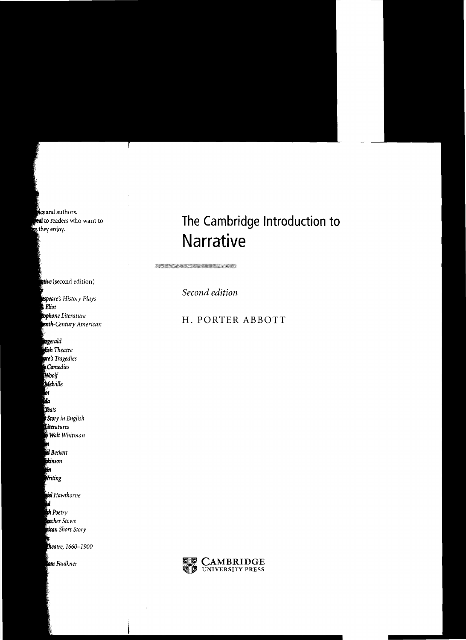## **The Cambridge Introduction to Narrative**

STRAIGHTEN STATISTICS

*Second edition* 

## *hone Literature* H. PORTER ABBOTT *th-Century American*

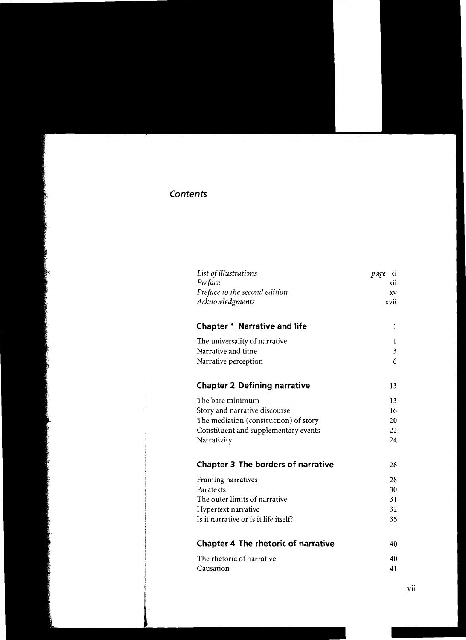### *Contents*

 $\ddot{\phantom{a}}$ 

| List of illustrations                      | page xi |
|--------------------------------------------|---------|
| Preface                                    | XII.    |
| Preface to the second edition              | XV      |
| Acknowledgments                            | xvii    |
| <b>Chapter 1 Narrative and life</b>        | 1       |
| The universality of narrative              | 1       |
| Narrative and time                         | 3       |
| Narrative perception                       | 6       |
| <b>Chapter 2 Defining narrative</b>        | 13      |
| The bare minimum                           | 13      |
| Story and narrative discourse              | 16      |
| The mediation (construction) of story      | 20      |
| Constituent and supplementary events       | 22      |
| Narrativity                                | 24      |
| <b>Chapter 3 The borders of narrative</b>  | 28      |
| Framing narratives                         | 28      |
| Paratexts                                  | 30      |
| The outer limits of narrative              | 31      |
| Hypertext narrative                        | 32      |
| Is it narrative or is it life itself?      | 35      |
| <b>Chapter 4 The rhetoric of narrative</b> | 40      |
| The rhetoric of narrative                  | 40      |
| Causation                                  | 41      |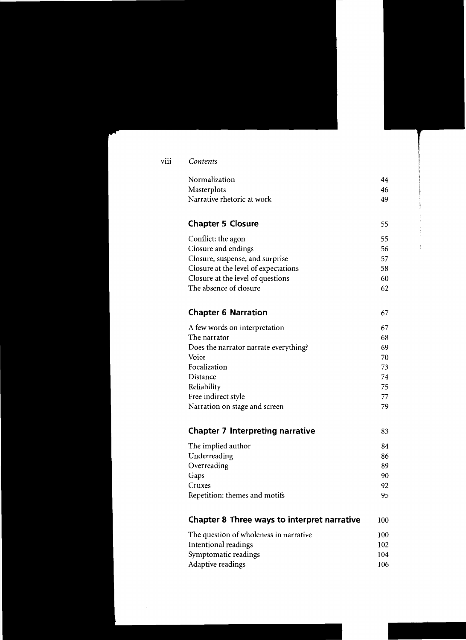viii *Contents* 

| Normalization                   | 44 |
|---------------------------------|----|
| Masterplots                     | 46 |
| Narrative rhetoric at work      | 49 |
| <b>Chapter 5 Closure</b>        | 55 |
| Conflict: the agon              | 55 |
|                                 |    |
| Closure and endings             | 56 |
| Closure, suspense, and surprise | 57 |

Closure at the level of expectations 58 Closure at the level of questions 60 The absence of closure 62

#### **Chapter 6 Narration** 67

A few words on interpretation 67 The narrator 68 Does the narrator narrate everything? 69 Voice 70 Focalization 73 Distance 74 Reliability 75 Free indirect style 77

# Narration on stage and screen 79

#### **Chapter 7 Interpreting narrative** 83

The implied author 84 Underreading 86 Overreading 89  $Gaps$  90 Cruxes 92 Repetition: themes and motifs 95

| <b>Chapter 8 Three ways to interpret narrative</b> | 100 |
|----------------------------------------------------|-----|
| The question of wholeness in narrative             | 100 |
| Intentional readings                               | 102 |
| Symptomatic readings                               | 104 |
| Adaptive readings                                  | 106 |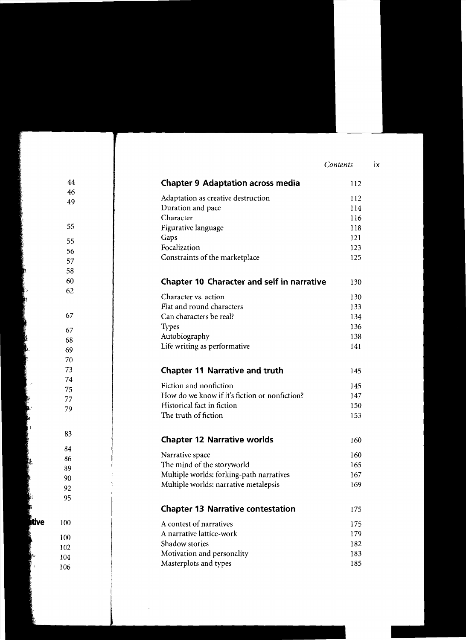*Contents* 

| <b>Chapter 9 Adaptation across media</b>      | 112 |
|-----------------------------------------------|-----|
| Adaptation as creative destruction            | 112 |
| Duration and pace                             | 114 |
| Character                                     | 116 |
| Figurative language                           | 118 |
| Gaps                                          | 121 |
| Focalization                                  | 123 |
| Constraints of the marketplace                | 125 |
| Chapter 10 Character and self in narrative    | 130 |
| Character vs. action                          | 130 |
| Flat and round characters                     | 133 |
| Can characters be real?                       | 134 |
| <b>Types</b>                                  | 136 |
| Autobiography                                 | 138 |
| Life writing as performative                  | 141 |
| <b>Chapter 11 Narrative and truth</b>         | 145 |
| Fiction and nonfiction                        | 145 |
| How do we know if it's fiction or nonfiction? | 147 |
| Historical fact in fiction                    | 150 |
| The truth of fiction                          | 153 |
| <b>Chapter 12 Narrative worlds</b>            | 160 |
| Narrative space                               | 160 |
| The mind of the storyworld                    | 165 |
| Multiple worlds: forking-path narratives      | 167 |
| Multiple worlds: narrative metalepsis         | 169 |
| <b>Chapter 13 Narrative contestation</b>      | 175 |
| A contest of narratives                       | 175 |
| A narrative lattice-work                      | 179 |
| Shadow stories                                | 182 |
| Motivation and personality                    | 183 |
| Masterplots and types                         | 185 |

 $\ddot{\phantom{a}}$ 

 $\mathbf{i}\mathbf{x}$